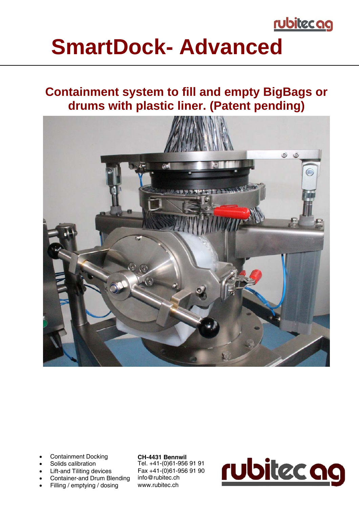

## **SmartDock- Advanced**

### **Containment system to fill and empty BigBags or drums with plastic liner. (Patent pending)**



- Containment Docking
- Solids calibration
- Lift-and Tiliting devices
- Container-and Drum Blending
- Filling / emptying / dosing

#### **CH-4431 Bennwil**

Tel. +41-(0)61-956 91 91 Fax +41-(0)61-956 91 90 info@rubitec.ch www.rubitec.ch

# rubitec ag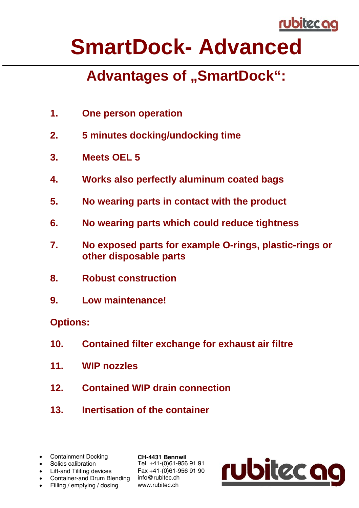

## **SmartDock- Advanced**

### **Advantages of "SmartDock":**

- **1. One person operation**
- **2. 5 minutes docking/undocking time**
- **3. Meets OEL 5**
- **4. Works also perfectly aluminum coated bags**
- **5. No wearing parts in contact with the product**
- **6. No wearing parts which could reduce tightness**
- **7. No exposed parts for example O-rings, plastic-rings or other disposable parts**
- **8. Robust construction**
- **9. Low maintenance!**

#### **Options:**

- **10. Contained filter exchange for exhaust air filtre**
- **11. WIP nozzles**
- **12. Contained WIP drain connection**
- **13. Inertisation of the container**
- Containment Docking
- Solids calibration
- Lift-and Tiliting devices
- Container-and Drum Blending info@rubitec.ch
- Filling / emptying / dosing

**CH-4431 Bennwil**  Tel. +41-(0)61-956 91 91 Fax +41-(0)61-956 91 90 www.rubitec.ch